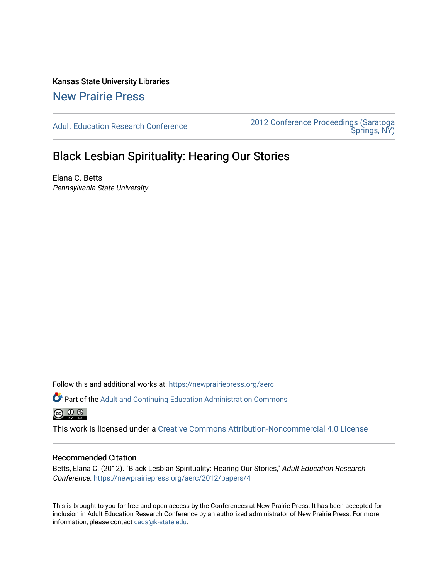Kansas State University Libraries [New Prairie Press](https://newprairiepress.org/) 

[Adult Education Research Conference](https://newprairiepress.org/aerc) [2012 Conference Proceedings \(Saratoga](https://newprairiepress.org/aerc/2012)  [Springs, NY\)](https://newprairiepress.org/aerc/2012) 

# Black Lesbian Spirituality: Hearing Our Stories

Elana C. Betts Pennsylvania State University

Follow this and additional works at: [https://newprairiepress.org/aerc](https://newprairiepress.org/aerc?utm_source=newprairiepress.org%2Faerc%2F2012%2Fpapers%2F4&utm_medium=PDF&utm_campaign=PDFCoverPages)

Part of the [Adult and Continuing Education Administration Commons](http://network.bepress.com/hgg/discipline/789?utm_source=newprairiepress.org%2Faerc%2F2012%2Fpapers%2F4&utm_medium=PDF&utm_campaign=PDFCoverPages) @ 0 ®

This work is licensed under a [Creative Commons Attribution-Noncommercial 4.0 License](https://creativecommons.org/licenses/by-nc/4.0/)

## Recommended Citation

Betts, Elana C. (2012). "Black Lesbian Spirituality: Hearing Our Stories," Adult Education Research Conference.<https://newprairiepress.org/aerc/2012/papers/4>

This is brought to you for free and open access by the Conferences at New Prairie Press. It has been accepted for inclusion in Adult Education Research Conference by an authorized administrator of New Prairie Press. For more information, please contact [cads@k-state.edu](mailto:cads@k-state.edu).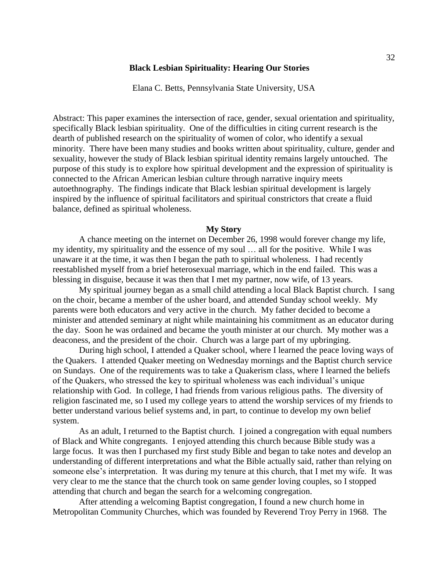## **Black Lesbian Spirituality: Hearing Our Stories**

Elana C. Betts, Pennsylvania State University, USA

Abstract: This paper examines the intersection of race, gender, sexual orientation and spirituality, specifically Black lesbian spirituality. One of the difficulties in citing current research is the dearth of published research on the spirituality of women of color, who identify a sexual minority. There have been many studies and books written about spirituality, culture, gender and sexuality, however the study of Black lesbian spiritual identity remains largely untouched. The purpose of this study is to explore how spiritual development and the expression of spirituality is connected to the African American lesbian culture through narrative inquiry meets autoethnography. The findings indicate that Black lesbian spiritual development is largely inspired by the influence of spiritual facilitators and spiritual constrictors that create a fluid balance, defined as spiritual wholeness.

#### **My Story**

A chance meeting on the internet on December 26, 1998 would forever change my life, my identity, my spirituality and the essence of my soul … all for the positive. While I was unaware it at the time, it was then I began the path to spiritual wholeness. I had recently reestablished myself from a brief heterosexual marriage, which in the end failed. This was a blessing in disguise, because it was then that I met my partner, now wife, of 13 years.

My spiritual journey began as a small child attending a local Black Baptist church. I sang on the choir, became a member of the usher board, and attended Sunday school weekly. My parents were both educators and very active in the church. My father decided to become a minister and attended seminary at night while maintaining his commitment as an educator during the day. Soon he was ordained and became the youth minister at our church. My mother was a deaconess, and the president of the choir. Church was a large part of my upbringing.

During high school, I attended a Quaker school, where I learned the peace loving ways of the Quakers. I attended Quaker meeting on Wednesday mornings and the Baptist church service on Sundays. One of the requirements was to take a Quakerism class, where I learned the beliefs of the Quakers, who stressed the key to spiritual wholeness was each individual's unique relationship with God. In college, I had friends from various religious paths. The diversity of religion fascinated me, so I used my college years to attend the worship services of my friends to better understand various belief systems and, in part, to continue to develop my own belief system.

As an adult, I returned to the Baptist church. I joined a congregation with equal numbers of Black and White congregants. I enjoyed attending this church because Bible study was a large focus. It was then I purchased my first study Bible and began to take notes and develop an understanding of different interpretations and what the Bible actually said, rather than relying on someone else's interpretation. It was during my tenure at this church, that I met my wife. It was very clear to me the stance that the church took on same gender loving couples, so I stopped attending that church and began the search for a welcoming congregation.

After attending a welcoming Baptist congregation, I found a new church home in Metropolitan Community Churches, which was founded by Reverend Troy Perry in 1968. The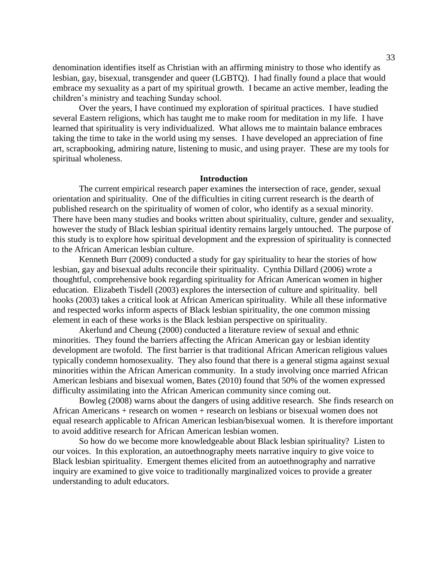denomination identifies itself as Christian with an affirming ministry to those who identify as lesbian, gay, bisexual, transgender and queer (LGBTQ). I had finally found a place that would embrace my sexuality as a part of my spiritual growth. I became an active member, leading the children's ministry and teaching Sunday school.

Over the years, I have continued my exploration of spiritual practices. I have studied several Eastern religions, which has taught me to make room for meditation in my life. I have learned that spirituality is very individualized. What allows me to maintain balance embraces taking the time to take in the world using my senses. I have developed an appreciation of fine art, scrapbooking, admiring nature, listening to music, and using prayer. These are my tools for spiritual wholeness.

## **Introduction**

The current empirical research paper examines the intersection of race, gender, sexual orientation and spirituality. One of the difficulties in citing current research is the dearth of published research on the spirituality of women of color, who identify as a sexual minority. There have been many studies and books written about spirituality, culture, gender and sexuality, however the study of Black lesbian spiritual identity remains largely untouched. The purpose of this study is to explore how spiritual development and the expression of spirituality is connected to the African American lesbian culture.

Kenneth Burr (2009) conducted a study for gay spirituality to hear the stories of how lesbian, gay and bisexual adults reconcile their spirituality. Cynthia Dillard (2006) wrote a thoughtful, comprehensive book regarding spirituality for African American women in higher education. Elizabeth Tisdell (2003) explores the intersection of culture and spirituality. bell hooks (2003) takes a critical look at African American spirituality. While all these informative and respected works inform aspects of Black lesbian spirituality, the one common missing element in each of these works is the Black lesbian perspective on spirituality.

Akerlund and Cheung (2000) conducted a literature review of sexual and ethnic minorities. They found the barriers affecting the African American gay or lesbian identity development are twofold. The first barrier is that traditional African American religious values typically condemn homosexuality. They also found that there is a general stigma against sexual minorities within the African American community. In a study involving once married African American lesbians and bisexual women, Bates (2010) found that 50% of the women expressed difficulty assimilating into the African American community since coming out.

Bowleg (2008) warns about the dangers of using additive research. She finds research on African Americans + research on women + research on lesbians or bisexual women does not equal research applicable to African American lesbian/bisexual women. It is therefore important to avoid additive research for African American lesbian women.

So how do we become more knowledgeable about Black lesbian spirituality? Listen to our voices. In this exploration, an autoethnography meets narrative inquiry to give voice to Black lesbian spirituality. Emergent themes elicited from an autoethnography and narrative inquiry are examined to give voice to traditionally marginalized voices to provide a greater understanding to adult educators.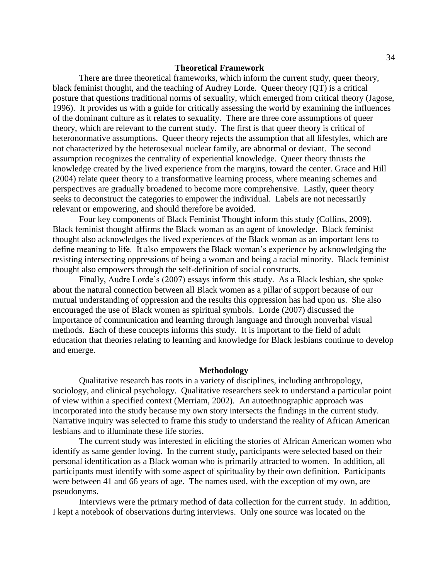## **Theoretical Framework**

There are three theoretical frameworks, which inform the current study, queer theory, black feminist thought, and the teaching of Audrey Lorde. Queer theory (QT) is a critical posture that questions traditional norms of sexuality, which emerged from critical theory (Jagose, 1996). It provides us with a guide for critically assessing the world by examining the influences of the dominant culture as it relates to sexuality. There are three core assumptions of queer theory, which are relevant to the current study. The first is that queer theory is critical of heteronormative assumptions. Queer theory rejects the assumption that all lifestyles, which are not characterized by the heterosexual nuclear family, are abnormal or deviant. The second assumption recognizes the centrality of experiential knowledge. Queer theory thrusts the knowledge created by the lived experience from the margins, toward the center. Grace and Hill (2004) relate queer theory to a transformative learning process, where meaning schemes and perspectives are gradually broadened to become more comprehensive. Lastly, queer theory seeks to deconstruct the categories to empower the individual. Labels are not necessarily relevant or empowering, and should therefore be avoided.

Four key components of Black Feminist Thought inform this study (Collins, 2009). Black feminist thought affirms the Black woman as an agent of knowledge. Black feminist thought also acknowledges the lived experiences of the Black woman as an important lens to define meaning to life. It also empowers the Black woman's experience by acknowledging the resisting intersecting oppressions of being a woman and being a racial minority. Black feminist thought also empowers through the self-definition of social constructs.

Finally, Audre Lorde's (2007) essays inform this study. As a Black lesbian, she spoke about the natural connection between all Black women as a pillar of support because of our mutual understanding of oppression and the results this oppression has had upon us. She also encouraged the use of Black women as spiritual symbols. Lorde (2007) discussed the importance of communication and learning through language and through nonverbal visual methods. Each of these concepts informs this study. It is important to the field of adult education that theories relating to learning and knowledge for Black lesbians continue to develop and emerge.

#### **Methodology**

Qualitative research has roots in a variety of disciplines, including anthropology, sociology, and clinical psychology. Qualitative researchers seek to understand a particular point of view within a specified context (Merriam, 2002). An autoethnographic approach was incorporated into the study because my own story intersects the findings in the current study. Narrative inquiry was selected to frame this study to understand the reality of African American lesbians and to illuminate these life stories.

The current study was interested in eliciting the stories of African American women who identify as same gender loving. In the current study, participants were selected based on their personal identification as a Black woman who is primarily attracted to women. In addition, all participants must identify with some aspect of spirituality by their own definition. Participants were between 41 and 66 years of age. The names used, with the exception of my own, are pseudonyms.

Interviews were the primary method of data collection for the current study. In addition, I kept a notebook of observations during interviews. Only one source was located on the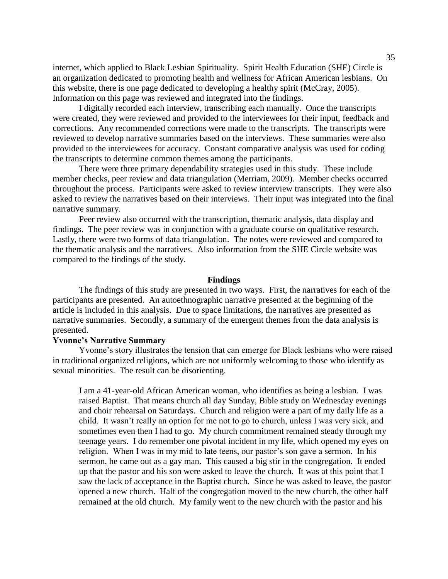internet, which applied to Black Lesbian Spirituality. Spirit Health Education (SHE) Circle is an organization dedicated to promoting health and wellness for African American lesbians. On this website, there is one page dedicated to developing a healthy spirit (McCray, 2005). Information on this page was reviewed and integrated into the findings.

I digitally recorded each interview, transcribing each manually. Once the transcripts were created, they were reviewed and provided to the interviewees for their input, feedback and corrections. Any recommended corrections were made to the transcripts. The transcripts were reviewed to develop narrative summaries based on the interviews. These summaries were also provided to the interviewees for accuracy. Constant comparative analysis was used for coding the transcripts to determine common themes among the participants.

There were three primary dependability strategies used in this study. These include member checks, peer review and data triangulation (Merriam, 2009). Member checks occurred throughout the process. Participants were asked to review interview transcripts. They were also asked to review the narratives based on their interviews. Their input was integrated into the final narrative summary.

Peer review also occurred with the transcription, thematic analysis, data display and findings. The peer review was in conjunction with a graduate course on qualitative research. Lastly, there were two forms of data triangulation. The notes were reviewed and compared to the thematic analysis and the narratives. Also information from the SHE Circle website was compared to the findings of the study.

#### **Findings**

The findings of this study are presented in two ways. First, the narratives for each of the participants are presented. An autoethnographic narrative presented at the beginning of the article is included in this analysis. Due to space limitations, the narratives are presented as narrative summaries. Secondly, a summary of the emergent themes from the data analysis is presented.

# **Yvonne"s Narrative Summary**

Yvonne's story illustrates the tension that can emerge for Black lesbians who were raised in traditional organized religions, which are not uniformly welcoming to those who identify as sexual minorities. The result can be disorienting.

I am a 41-year-old African American woman, who identifies as being a lesbian. I was raised Baptist. That means church all day Sunday, Bible study on Wednesday evenings and choir rehearsal on Saturdays. Church and religion were a part of my daily life as a child. It wasn't really an option for me not to go to church, unless I was very sick, and sometimes even then I had to go. My church commitment remained steady through my teenage years. I do remember one pivotal incident in my life, which opened my eyes on religion. When I was in my mid to late teens, our pastor's son gave a sermon. In his sermon, he came out as a gay man. This caused a big stir in the congregation. It ended up that the pastor and his son were asked to leave the church. It was at this point that I saw the lack of acceptance in the Baptist church. Since he was asked to leave, the pastor opened a new church. Half of the congregation moved to the new church, the other half remained at the old church. My family went to the new church with the pastor and his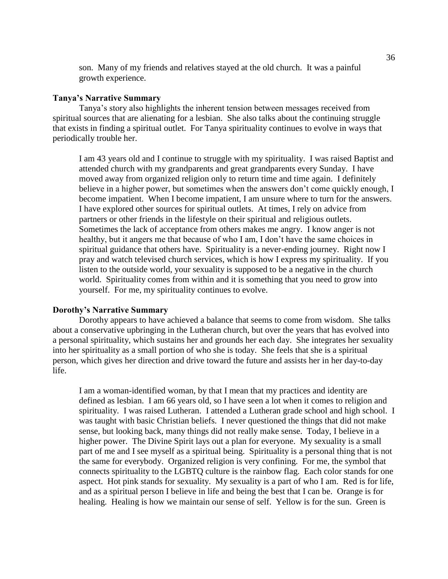son. Many of my friends and relatives stayed at the old church. It was a painful growth experience.

# **Tanya"s Narrative Summary**

Tanya's story also highlights the inherent tension between messages received from spiritual sources that are alienating for a lesbian. She also talks about the continuing struggle that exists in finding a spiritual outlet. For Tanya spirituality continues to evolve in ways that periodically trouble her.

I am 43 years old and I continue to struggle with my spirituality. I was raised Baptist and attended church with my grandparents and great grandparents every Sunday. I have moved away from organized religion only to return time and time again. I definitely believe in a higher power, but sometimes when the answers don't come quickly enough, I become impatient. When I become impatient, I am unsure where to turn for the answers. I have explored other sources for spiritual outlets. At times, I rely on advice from partners or other friends in the lifestyle on their spiritual and religious outlets. Sometimes the lack of acceptance from others makes me angry. I know anger is not healthy, but it angers me that because of who I am, I don't have the same choices in spiritual guidance that others have. Spirituality is a never-ending journey. Right now I pray and watch televised church services, which is how I express my spirituality. If you listen to the outside world, your sexuality is supposed to be a negative in the church world. Spirituality comes from within and it is something that you need to grow into yourself. For me, my spirituality continues to evolve.

# **Dorothy"s Narrative Summary**

Dorothy appears to have achieved a balance that seems to come from wisdom. She talks about a conservative upbringing in the Lutheran church, but over the years that has evolved into a personal spirituality, which sustains her and grounds her each day. She integrates her sexuality into her spirituality as a small portion of who she is today. She feels that she is a spiritual person, which gives her direction and drive toward the future and assists her in her day-to-day life.

I am a woman-identified woman, by that I mean that my practices and identity are defined as lesbian. I am 66 years old, so I have seen a lot when it comes to religion and spirituality. I was raised Lutheran. I attended a Lutheran grade school and high school. I was taught with basic Christian beliefs. I never questioned the things that did not make sense, but looking back, many things did not really make sense. Today, I believe in a higher power. The Divine Spirit lays out a plan for everyone. My sexuality is a small part of me and I see myself as a spiritual being. Spirituality is a personal thing that is not the same for everybody. Organized religion is very confining. For me, the symbol that connects spirituality to the LGBTQ culture is the rainbow flag. Each color stands for one aspect. Hot pink stands for sexuality. My sexuality is a part of who I am. Red is for life, and as a spiritual person I believe in life and being the best that I can be. Orange is for healing. Healing is how we maintain our sense of self. Yellow is for the sun. Green is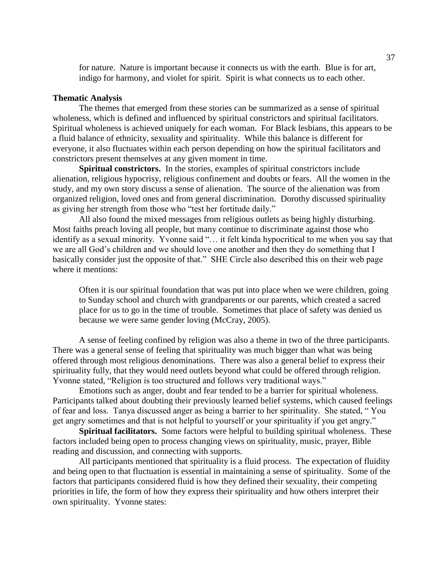for nature. Nature is important because it connects us with the earth. Blue is for art, indigo for harmony, and violet for spirit. Spirit is what connects us to each other.

# **Thematic Analysis**

The themes that emerged from these stories can be summarized as a sense of spiritual wholeness, which is defined and influenced by spiritual constrictors and spiritual facilitators. Spiritual wholeness is achieved uniquely for each woman. For Black lesbians, this appears to be a fluid balance of ethnicity, sexuality and spirituality. While this balance is different for everyone, it also fluctuates within each person depending on how the spiritual facilitators and constrictors present themselves at any given moment in time.

**Spiritual constrictors.** In the stories, examples of spiritual constrictors include alienation, religious hypocrisy, religious confinement and doubts or fears. All the women in the study, and my own story discuss a sense of alienation. The source of the alienation was from organized religion, loved ones and from general discrimination. Dorothy discussed spirituality as giving her strength from those who "test her fortitude daily."

All also found the mixed messages from religious outlets as being highly disturbing. Most faiths preach loving all people, but many continue to discriminate against those who identify as a sexual minority. Yvonne said "... it felt kinda hypocritical to me when you say that we are all God's children and we should love one another and then they do something that I basically consider just the opposite of that." SHE Circle also described this on their web page where it mentions:

Often it is our spiritual foundation that was put into place when we were children, going to Sunday school and church with grandparents or our parents, which created a sacred place for us to go in the time of trouble. Sometimes that place of safety was denied us because we were same gender loving (McCray, 2005).

A sense of feeling confined by religion was also a theme in two of the three participants. There was a general sense of feeling that spirituality was much bigger than what was being offered through most religious denominations. There was also a general belief to express their spirituality fully, that they would need outlets beyond what could be offered through religion. Yvonne stated, "Religion is too structured and follows very traditional ways."

Emotions such as anger, doubt and fear tended to be a barrier for spiritual wholeness. Participants talked about doubting their previously learned belief systems, which caused feelings of fear and loss. Tanya discussed anger as being a barrier to her spirituality. She stated, "You get angry sometimes and that is not helpful to yourself or your spirituality if you get angry."

**Spiritual facilitators.** Some factors were helpful to building spiritual wholeness. These factors included being open to process changing views on spirituality, music, prayer, Bible reading and discussion, and connecting with supports.

All participants mentioned that spirituality is a fluid process. The expectation of fluidity and being open to that fluctuation is essential in maintaining a sense of spirituality. Some of the factors that participants considered fluid is how they defined their sexuality, their competing priorities in life, the form of how they express their spirituality and how others interpret their own spirituality. Yvonne states: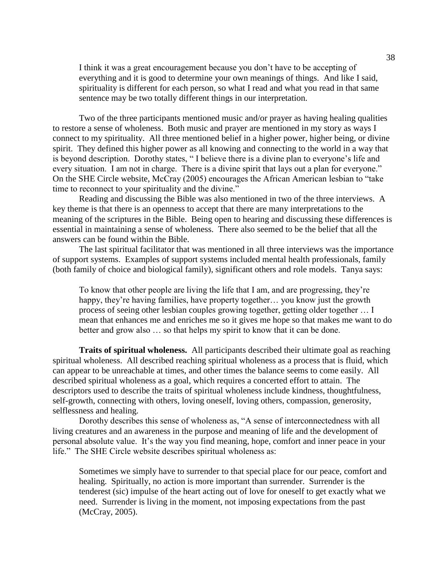I think it was a great encouragement because you don't have to be accepting of everything and it is good to determine your own meanings of things. And like I said, spirituality is different for each person, so what I read and what you read in that same sentence may be two totally different things in our interpretation.

Two of the three participants mentioned music and/or prayer as having healing qualities to restore a sense of wholeness. Both music and prayer are mentioned in my story as ways I connect to my spirituality. All three mentioned belief in a higher power, higher being, or divine spirit. They defined this higher power as all knowing and connecting to the world in a way that is beyond description. Dorothy states, "I believe there is a divine plan to everyone's life and every situation. I am not in charge. There is a divine spirit that lays out a plan for everyone." On the SHE Circle website, McCray (2005) encourages the African American lesbian to "take time to reconnect to your spirituality and the divine."

Reading and discussing the Bible was also mentioned in two of the three interviews. A key theme is that there is an openness to accept that there are many interpretations to the meaning of the scriptures in the Bible. Being open to hearing and discussing these differences is essential in maintaining a sense of wholeness. There also seemed to be the belief that all the answers can be found within the Bible.

The last spiritual facilitator that was mentioned in all three interviews was the importance of support systems. Examples of support systems included mental health professionals, family (both family of choice and biological family), significant others and role models. Tanya says:

To know that other people are living the life that I am, and are progressing, they're happy, they're having families, have property together... you know just the growth process of seeing other lesbian couples growing together, getting older together … I mean that enhances me and enriches me so it gives me hope so that makes me want to do better and grow also … so that helps my spirit to know that it can be done.

**Traits of spiritual wholeness.** All participants described their ultimate goal as reaching spiritual wholeness. All described reaching spiritual wholeness as a process that is fluid, which can appear to be unreachable at times, and other times the balance seems to come easily. All described spiritual wholeness as a goal, which requires a concerted effort to attain. The descriptors used to describe the traits of spiritual wholeness include kindness, thoughtfulness, self-growth, connecting with others, loving oneself, loving others, compassion, generosity, selflessness and healing.

Dorothy describes this sense of wholeness as, "A sense of interconnectedness with all living creatures and an awareness in the purpose and meaning of life and the development of personal absolute value. It's the way you find meaning, hope, comfort and inner peace in your life." The SHE Circle website describes spiritual wholeness as:

Sometimes we simply have to surrender to that special place for our peace, comfort and healing. Spiritually, no action is more important than surrender. Surrender is the tenderest (sic) impulse of the heart acting out of love for oneself to get exactly what we need. Surrender is living in the moment, not imposing expectations from the past (McCray, 2005).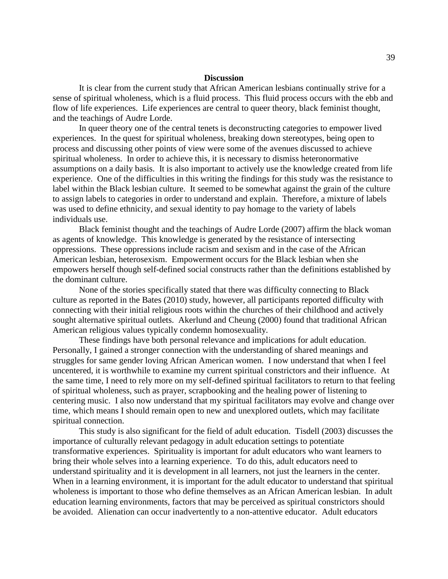## **Discussion**

It is clear from the current study that African American lesbians continually strive for a sense of spiritual wholeness, which is a fluid process. This fluid process occurs with the ebb and flow of life experiences. Life experiences are central to queer theory, black feminist thought, and the teachings of Audre Lorde.

In queer theory one of the central tenets is deconstructing categories to empower lived experiences. In the quest for spiritual wholeness, breaking down stereotypes, being open to process and discussing other points of view were some of the avenues discussed to achieve spiritual wholeness. In order to achieve this, it is necessary to dismiss heteronormative assumptions on a daily basis. It is also important to actively use the knowledge created from life experience. One of the difficulties in this writing the findings for this study was the resistance to label within the Black lesbian culture. It seemed to be somewhat against the grain of the culture to assign labels to categories in order to understand and explain. Therefore, a mixture of labels was used to define ethnicity, and sexual identity to pay homage to the variety of labels individuals use.

Black feminist thought and the teachings of Audre Lorde (2007) affirm the black woman as agents of knowledge. This knowledge is generated by the resistance of intersecting oppressions. These oppressions include racism and sexism and in the case of the African American lesbian, heterosexism. Empowerment occurs for the Black lesbian when she empowers herself though self-defined social constructs rather than the definitions established by the dominant culture.

None of the stories specifically stated that there was difficulty connecting to Black culture as reported in the Bates (2010) study, however, all participants reported difficulty with connecting with their initial religious roots within the churches of their childhood and actively sought alternative spiritual outlets. Akerlund and Cheung (2000) found that traditional African American religious values typically condemn homosexuality.

These findings have both personal relevance and implications for adult education. Personally, I gained a stronger connection with the understanding of shared meanings and struggles for same gender loving African American women. I now understand that when I feel uncentered, it is worthwhile to examine my current spiritual constrictors and their influence. At the same time, I need to rely more on my self-defined spiritual facilitators to return to that feeling of spiritual wholeness, such as prayer, scrapbooking and the healing power of listening to centering music. I also now understand that my spiritual facilitators may evolve and change over time, which means I should remain open to new and unexplored outlets, which may facilitate spiritual connection.

This study is also significant for the field of adult education. Tisdell (2003) discusses the importance of culturally relevant pedagogy in adult education settings to potentiate transformative experiences. Spirituality is important for adult educators who want learners to bring their whole selves into a learning experience. To do this, adult educators need to understand spirituality and it is development in all learners, not just the learners in the center. When in a learning environment, it is important for the adult educator to understand that spiritual wholeness is important to those who define themselves as an African American lesbian. In adult education learning environments, factors that may be perceived as spiritual constrictors should be avoided. Alienation can occur inadvertently to a non-attentive educator. Adult educators